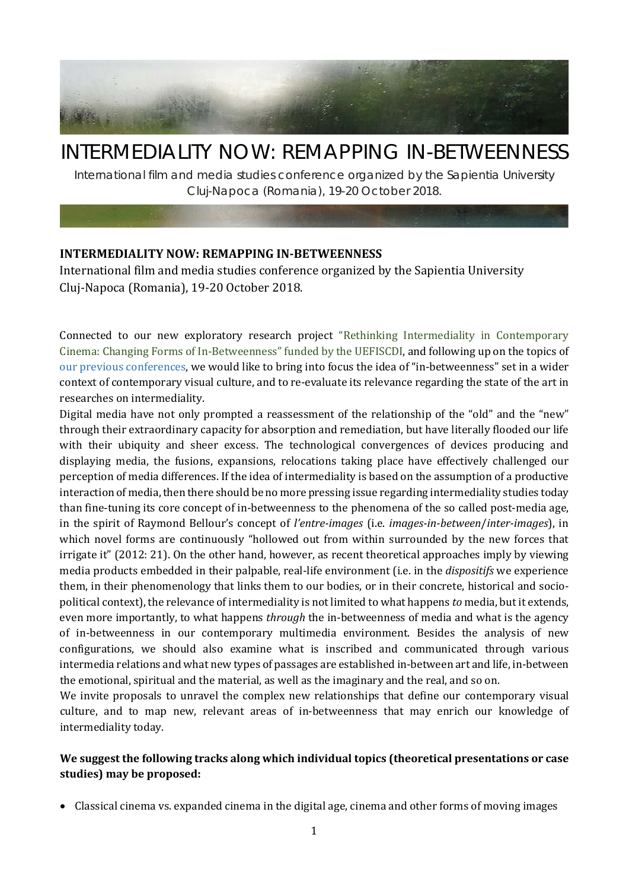

# INTERMEDIALITY NOW: REMAPPING IN-BETWEENNESS

International film and media studies conference organized by the Sapientia University Cluj-Napoca (Romania), 19-20 October 2018.

# **INTERMEDIALITY NOW: REMAPPING IN-BETWEENNESS**

International film and media studies conference organized by the Sapientia University Cluj-Napoca (Romania), 19-20 October 2018.

Connected to our new exploratory research project "Rethinking [Intermediality in Contemporary](http://film.sapientia.ro/en/research-programs/rethinking-intermediality-in-contemporary-cinema-changing-forms-of-in-betweenness)  [Cinema: Changing Forms of In-Betweenness" funded by the UEFISCDI,](http://film.sapientia.ro/en/research-programs/rethinking-intermediality-in-contemporary-cinema-changing-forms-of-in-betweenness) and following up on the topics of [our previous conferences,](http://film.sapientia.ro/en/conferences) we would like to bring into focus the idea of "in-betweenness" set in a wider context of contemporary visual culture, and to re-evaluate its relevance regarding the state of the art in researches on intermediality.

Digital media have not only prompted a reassessment of the relationship of the "old" and the "new" through their extraordinary capacity for absorption and remediation, but have literally flooded our life with their ubiquity and sheer excess. The technological convergences of devices producing and displaying media, the fusions, expansions, relocations taking place have effectively challenged our perception of media differences. If the idea of intermediality is based on the assumption of a productive interaction of media, then there should be no more pressing issue regarding intermediality studies today than fine-tuning its core concept of in-betweenness to the phenomena of the so called post-media age, in the spirit of Raymond Bellour's concept of *l'entre-images* (i.e. *images-in-between*/*inter-images*), in which novel forms are continuously "hollowed out from within surrounded by the new forces that irrigate it" (2012: 21). On the other hand, however, as recent theoretical approaches imply by viewing media products embedded in their palpable, real-life environment (i.e. in the *dispositifs* we experience them, in their phenomenology that links them to our bodies, or in their concrete, historical and sociopolitical context), the relevance of intermediality is not limited to what happens *to* media, but it extends, even more importantly, to what happens *through* the in-betweenness of media and what is the agency of in-betweenness in our contemporary multimedia environment. Besides the analysis of new configurations, we should also examine what is inscribed and communicated through various intermedia relations and what new types of passages are established in-between art and life, in-between the emotional, spiritual and the material, as well as the imaginary and the real, and so on.

We invite proposals to unravel the complex new relationships that define our contemporary visual culture, and to map new, relevant areas of in-betweenness that may enrich our knowledge of intermediality today.

# **We suggest the following tracks along which individual topics (theoretical presentations or case studies) may be proposed:**

• Classical cinema vs. expanded cinema in the digital age, cinema and other forms of moving images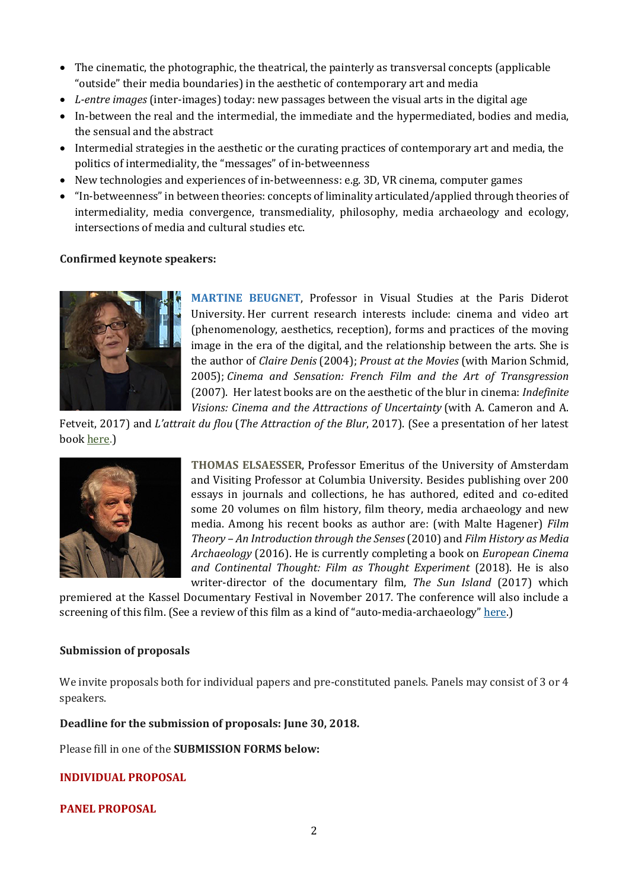- The cinematic, the photographic, the theatrical, the painterly as transversal concepts (applicable "outside" their media boundaries) in the aesthetic of contemporary art and media
- *L-entre images* (inter-images) today: new passages between the visual arts in the digital age
- In-between the real and the intermedial, the immediate and the hypermediated, bodies and media, the sensual and the abstract
- Intermedial strategies in the aesthetic or the curating practices of contemporary art and media, the politics of intermediality, the "messages" of in-betweenness
- New technologies and experiences of in-betweenness: e.g. 3D, VR cinema, computer games
- "In-betweenness" in between theories: concepts of liminality articulated/applied through theories of intermediality, media convergence, transmediality, philosophy, media archaeology and ecology, intersections of media and cultural studies etc.

# **Confirmed keynote speakers:**



**MARTINE BEUGNET**, Professor in Visual Studies at the Paris Diderot University. Her current research interests include: cinema and video art (phenomenology, aesthetics, reception), forms and practices of the moving image in the era of the digital, and the relationship between the arts. She is the author of *Claire Denis* (2004); *Proust at the Movies* (with Marion Schmid, 2005); *Cinema and Sensation: French Film and the Art of Transgression* (2007). Her latest books are on the aesthetic of the blur in cinema: *Indefinite Visions: Cinema and the Attractions of Uncertainty* (with A. Cameron and A.

Fetveit, 2017) and *L'attrait du flou* (*The Attraction of the Blur*, 2017). (See a presentation of her latest book <u>here</u>.)



**THOMAS ELSAESSER**, Professor Emeritus of the University of Amsterdam and Visiting Professor at Columbia University. Besides publishing over 200 essays in journals and collections, he has authored, edited and co-edited some 20 volumes on film history, film theory, media archaeology and new media. Among his recent books as author are: (with Malte Hagener) *Film Theory – An Introduction through the Senses*(2010) and *Film History as Media Archaeology* (2016). He is currently completing a book on *European Cinema and Continental Thought: Film as Thought Experiment* (2018). He is also writer-director of the documentary film, *The Sun Island* (2017) which

premiered at the Kassel Documentary Festival in November 2017. The conference will also include a screening of this film. (See a review of this film as a kind of "auto-media-archaeology" [here.\)](http://www.mediapolisjournal.com/2018/01/the-sun-island/)

# **Submission of proposals**

We invite proposals both for individual papers and pre-constituted panels. Panels may consist of 3 or 4 speakers.

**Deadline for the submission of proposals: June 30, 2018.**

Please fill in one of the **SUBMISSION FORMS below:**

# **[INDIVIDUAL PROPOSAL](https://goo.gl/forms/uVWHAriu7D3Z5GTH2)**

# **[PANEL PROPOSAL](https://goo.gl/forms/Vwot36JxaVn0vdDv2)**